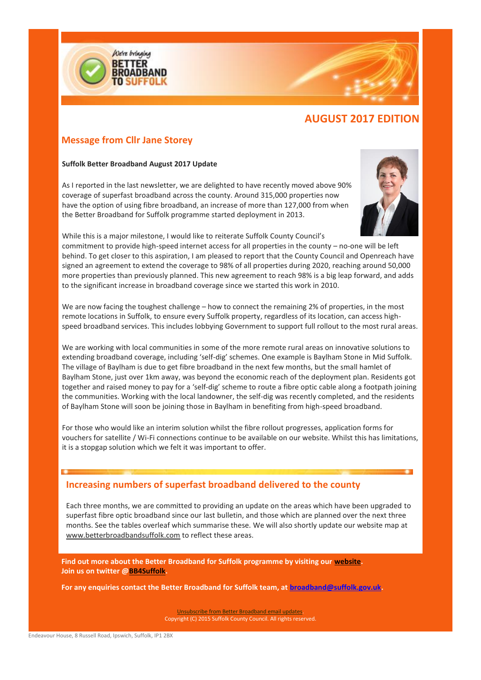

# **AUGUST 2017 EDITION**

# **Message from Cllr Jane Storey**

#### **Suffolk Better Broadband August 2017 Update**

As I reported in the last newsletter, we are delighted to have recently moved above 90% coverage of superfast broadband across the county. Around 315,000 properties now have the option of using fibre broadband, an increase of more than 127,000 from when the Better Broadband for Suffolk programme started deployment in 2013.



While this is a major milestone, I would like to reiterate Suffolk County Council's commitment to provide high-speed internet access for all properties in the county – no-one will be left behind. To get closer to this aspiration, I am pleased to report that the County Council and Openreach have signed an agreement to extend the coverage to 98% of all properties during 2020, reaching around 50,000 more properties than previously planned. This new agreement to reach 98% is a big leap forward, and adds to the significant increase in broadband coverage since we started this work in 2010.

We are now facing the toughest challenge – how to connect the remaining 2% of properties, in the most remote locations in Suffolk, to ensure every Suffolk property, regardless of its location, can access highspeed broadband services. This includes lobbying Government to support full rollout to the most rural areas.

We are working with local communities in some of the more remote rural areas on innovative solutions to extending broadband coverage, including 'self-dig' schemes. One example is Baylham Stone in Mid Suffolk. The village of Baylham is due to get fibre broadband in the next few months, but the small hamlet of Baylham Stone, just over 1km away, was beyond the economic reach of the deployment plan. Residents got together and raised money to pay for a 'self-dig' scheme to route a fibre optic cable along a footpath joining the communities. Working with the local landowner, the self-dig was recently completed, and the residents of Baylham Stone will soon be joining those in Baylham in benefiting from high-speed broadband.

For those who would like an interim solution whilst the fibre rollout progresses, application forms for vouchers for satellite / Wi-Fi connections continue to be available on our website. Whilst this has limitations, it is a stopgap solution which we felt it was important to offer.

# **Increasing numbers of superfast broadband delivered to the county**

Each three months, we are committed to providing an update on the areas which have been upgraded to superfast fibre optic broadband since our last bulletin, and those which are planned over the next three months. See the tables overleaf which summarise these. We will also shortly update our website map at www.betterbroadbandsuffolk.com to reflect these areas.

**Find out more about the Better Broadband for Suffolk programme by visiting our [website.](http://links.govdelivery.com/track?type=click&enid=ZWFzPTEmbWFpbGluZ2lkPTIwMTcwMzE3LjcxMjI1MTgxJm1lc3NhZ2VpZD1NREItUFJELUJVTC0yMDE3MDMxNy43MTIyNTE4MSZkYXRhYmFzZWlkPTEwMDEmc2VyaWFsPTE3MTU5NzMxJmVtYWlsaWQ9c3RlcGhhbmllLnBhdGllbmNlQGhvdG1haWwuY29tJnVzZXJpZD1zdGVwaGFuaWUucGF0aWVuY2VAaG90bWFpbC5jb20mZmw9JmV4dHJhPU11bHRpdmFyaWF0ZUlkPSYmJg==&&&102&&&http://www.betterbroadbandsuffolk.com/) Join us on twitter [@BB4Suffolk.](http://links.govdelivery.com/track?type=click&enid=ZWFzPTEmbWFpbGluZ2lkPTIwMTcwMzE3LjcxMjI1MTgxJm1lc3NhZ2VpZD1NREItUFJELUJVTC0yMDE3MDMxNy43MTIyNTE4MSZkYXRhYmFzZWlkPTEwMDEmc2VyaWFsPTE3MTU5NzMxJmVtYWlsaWQ9c3RlcGhhbmllLnBhdGllbmNlQGhvdG1haWwuY29tJnVzZXJpZD1zdGVwaGFuaWUucGF0aWVuY2VAaG90bWFpbC5jb20mZmw9JmV4dHJhPU11bHRpdmFyaWF0ZUlkPSYmJg==&&&103&&&https://twitter.com/BB4Suffolk)**

**For any enquiries contact the Better Broadband for Suffolk team, a[t broadband@suffolk.gov.uk.](mailto:broadband@suffolk.gov.uk)**

[Unsubscribe from Better Broadband email updates.](mailto:broadband@suffolk.gov.uk) Copyright (C) 2015 Suffolk County Council. All rights reserved.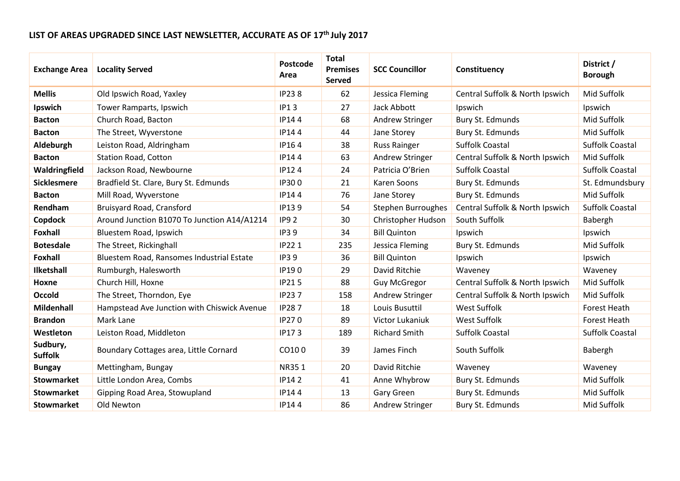# **LIST OF AREAS UPGRADED SINCE LAST NEWSLETTER, ACCURATE AS OF 17 th July 2017**

| <b>Exchange Area</b>       | <b>Locality Served</b>                      | Postcode<br>Area | <b>Total</b><br><b>Premises</b><br>Served | <b>SCC Councillor</b> | Constituency                    | District /<br><b>Borough</b> |
|----------------------------|---------------------------------------------|------------------|-------------------------------------------|-----------------------|---------------------------------|------------------------------|
| <b>Mellis</b>              | Old Ipswich Road, Yaxley                    | <b>IP238</b>     | 62                                        | Jessica Fleming       | Central Suffolk & North Ipswich | Mid Suffolk                  |
| Ipswich                    | Tower Ramparts, Ipswich                     | <b>IP13</b>      | 27                                        | Jack Abbott           | Ipswich                         | Ipswich                      |
| <b>Bacton</b>              | Church Road, Bacton                         | IP144            | 68                                        | Andrew Stringer       | Bury St. Edmunds                | Mid Suffolk                  |
| <b>Bacton</b>              | The Street, Wyverstone                      | IP144            | 44                                        | Jane Storey           | Bury St. Edmunds                | Mid Suffolk                  |
| Aldeburgh                  | Leiston Road, Aldringham                    | IP164            | 38                                        | <b>Russ Rainger</b>   | <b>Suffolk Coastal</b>          | <b>Suffolk Coastal</b>       |
| <b>Bacton</b>              | <b>Station Road, Cotton</b>                 | IP144            | 63                                        | Andrew Stringer       | Central Suffolk & North Ipswich | Mid Suffolk                  |
| Waldringfield              | Jackson Road, Newbourne                     | IP124            | 24                                        | Patricia O'Brien      | <b>Suffolk Coastal</b>          | <b>Suffolk Coastal</b>       |
| <b>Sicklesmere</b>         | Bradfield St. Clare, Bury St. Edmunds       | IP300            | 21                                        | Karen Soons           | Bury St. Edmunds                | St. Edmundsbury              |
| <b>Bacton</b>              | Mill Road, Wyverstone                       | IP144            | 76                                        | Jane Storey           | Bury St. Edmunds                | Mid Suffolk                  |
| Rendham                    | Bruisyard Road, Cransford                   | IP139            | 54                                        | Stephen Burroughes    | Central Suffolk & North Ipswich | <b>Suffolk Coastal</b>       |
| Copdock                    | Around Junction B1070 To Junction A14/A1214 | <b>IP92</b>      | 30                                        | Christopher Hudson    | South Suffolk                   | Babergh                      |
| <b>Foxhall</b>             | Bluestem Road, Ipswich                      | IP39             | 34                                        | <b>Bill Quinton</b>   | Ipswich                         | Ipswich                      |
| <b>Botesdale</b>           | The Street, Rickinghall                     | <b>IP221</b>     | 235                                       | Jessica Fleming       | Bury St. Edmunds                | Mid Suffolk                  |
| <b>Foxhall</b>             | Bluestem Road, Ransomes Industrial Estate   | IP39             | 36                                        | <b>Bill Quinton</b>   | Ipswich                         | Ipswich                      |
| <b>Ilketshall</b>          | Rumburgh, Halesworth                        | IP190            | 29                                        | David Ritchie         | Waveney                         | Waveney                      |
| Hoxne                      | Church Hill, Hoxne                          | <b>IP215</b>     | 88                                        | <b>Guy McGregor</b>   | Central Suffolk & North Ipswich | Mid Suffolk                  |
| <b>Occold</b>              | The Street, Thorndon, Eye                   | <b>IP237</b>     | 158                                       | Andrew Stringer       | Central Suffolk & North Ipswich | Mid Suffolk                  |
| <b>Mildenhall</b>          | Hampstead Ave Junction with Chiswick Avenue | <b>IP287</b>     | 18                                        | Louis Busuttil        | <b>West Suffolk</b>             | <b>Forest Heath</b>          |
| <b>Brandon</b>             | Mark Lane                                   | IP270            | 89                                        | Victor Lukaniuk       | West Suffolk                    | <b>Forest Heath</b>          |
| Westleton                  | Leiston Road, Middleton                     | IP173            | 189                                       | <b>Richard Smith</b>  | <b>Suffolk Coastal</b>          | <b>Suffolk Coastal</b>       |
| Sudbury,<br><b>Suffolk</b> | Boundary Cottages area, Little Cornard      | CO100            | 39                                        | James Finch           | South Suffolk                   | Babergh                      |
| <b>Bungay</b>              | Mettingham, Bungay                          | NR351            | 20                                        | David Ritchie         | Waveney                         | Waveney                      |
| <b>Stowmarket</b>          | Little London Area, Combs                   | <b>IP142</b>     | 41                                        | Anne Whybrow          | Bury St. Edmunds                | Mid Suffolk                  |
| <b>Stowmarket</b>          | Gipping Road Area, Stowupland               | IP144            | 13                                        | <b>Gary Green</b>     | Bury St. Edmunds                | Mid Suffolk                  |
| <b>Stowmarket</b>          | Old Newton                                  | IP144            | 86                                        | Andrew Stringer       | Bury St. Edmunds                | Mid Suffolk                  |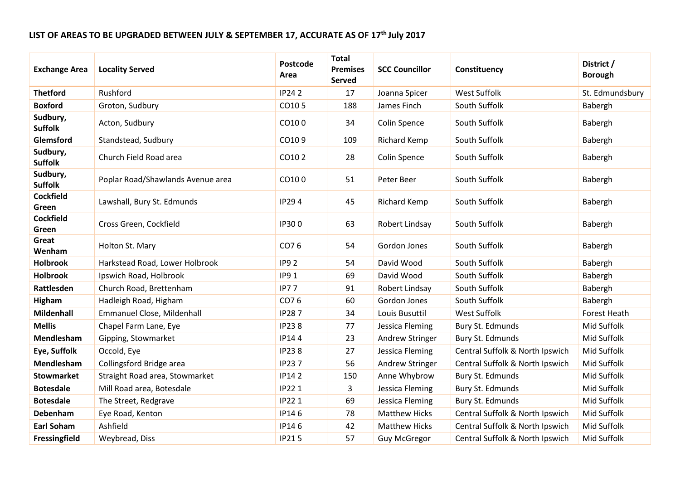# **LIST OF AREAS TO BE UPGRADED BETWEEN JULY & SEPTEMBER 17, ACCURATE AS OF 17 th July 2017**

| <b>Exchange Area</b>       | <b>Locality Served</b>            | <b>Postcode</b><br>Area | <b>Total</b><br><b>Premises</b><br><b>Served</b> | <b>SCC Councillor</b>  | Constituency                    | District /<br><b>Borough</b> |
|----------------------------|-----------------------------------|-------------------------|--------------------------------------------------|------------------------|---------------------------------|------------------------------|
| <b>Thetford</b>            | Rushford                          | <b>IP242</b>            | 17                                               | Joanna Spicer          | <b>West Suffolk</b>             | St. Edmundsbury              |
| <b>Boxford</b>             | Groton, Sudbury                   | CO105                   | 188                                              | James Finch            | South Suffolk                   | Babergh                      |
| Sudbury,<br><b>Suffolk</b> | Acton, Sudbury                    | CO100                   | 34                                               | <b>Colin Spence</b>    | South Suffolk                   | Babergh                      |
| Glemsford                  | Standstead, Sudbury               | CO109                   | 109                                              | <b>Richard Kemp</b>    | South Suffolk                   | Babergh                      |
| Sudbury,<br><b>Suffolk</b> | Church Field Road area            | CO102                   | 28                                               | <b>Colin Spence</b>    | South Suffolk                   | Babergh                      |
| Sudbury,<br><b>Suffolk</b> | Poplar Road/Shawlands Avenue area | CO100                   | 51                                               | Peter Beer             | South Suffolk                   | Babergh                      |
| <b>Cockfield</b><br>Green  | Lawshall, Bury St. Edmunds        | <b>IP294</b>            | 45                                               | <b>Richard Kemp</b>    | South Suffolk                   | Babergh                      |
| <b>Cockfield</b><br>Green  | Cross Green, Cockfield            | IP300                   | 63                                               | Robert Lindsay         | South Suffolk                   | Babergh                      |
| Great<br>Wenham            | Holton St. Mary                   | CO76                    | 54                                               | Gordon Jones           | South Suffolk                   | Babergh                      |
| <b>Holbrook</b>            | Harkstead Road, Lower Holbrook    | <b>IP92</b>             | 54                                               | David Wood             | South Suffolk                   | Babergh                      |
| <b>Holbrook</b>            | Ipswich Road, Holbrook            | <b>IP91</b>             | 69                                               | David Wood             | South Suffolk                   | Babergh                      |
| Rattlesden                 | Church Road, Brettenham           | <b>IP77</b>             | 91                                               | Robert Lindsay         | South Suffolk                   | Babergh                      |
| <b>Higham</b>              | Hadleigh Road, Higham             | CO76                    | 60                                               | Gordon Jones           | South Suffolk                   | Babergh                      |
| <b>Mildenhall</b>          | Emmanuel Close, Mildenhall        | <b>IP287</b>            | 34                                               | Louis Busuttil         | West Suffolk                    | <b>Forest Heath</b>          |
| <b>Mellis</b>              | Chapel Farm Lane, Eye             | <b>IP238</b>            | 77                                               | Jessica Fleming        | Bury St. Edmunds                | Mid Suffolk                  |
| Mendlesham                 | Gipping, Stowmarket               | IP144                   | 23                                               | Andrew Stringer        | Bury St. Edmunds                | Mid Suffolk                  |
| Eye, Suffolk               | Occold, Eye                       | <b>IP238</b>            | 27                                               | Jessica Fleming        | Central Suffolk & North Ipswich | Mid Suffolk                  |
| Mendlesham                 | Collingsford Bridge area          | <b>IP237</b>            | 56                                               | <b>Andrew Stringer</b> | Central Suffolk & North Ipswich | Mid Suffolk                  |
| <b>Stowmarket</b>          | Straight Road area, Stowmarket    | <b>IP142</b>            | 150                                              | Anne Whybrow           | Bury St. Edmunds                | Mid Suffolk                  |
| <b>Botesdale</b>           | Mill Road area, Botesdale         | <b>IP221</b>            | 3                                                | Jessica Fleming        | Bury St. Edmunds                | Mid Suffolk                  |
| <b>Botesdale</b>           | The Street, Redgrave              | <b>IP221</b>            | 69                                               | Jessica Fleming        | Bury St. Edmunds                | Mid Suffolk                  |
| Debenham                   | Eye Road, Kenton                  | IP146                   | 78                                               | <b>Matthew Hicks</b>   | Central Suffolk & North Ipswich | Mid Suffolk                  |
| <b>Earl Soham</b>          | Ashfield                          | IP146                   | 42                                               | <b>Matthew Hicks</b>   | Central Suffolk & North Ipswich | Mid Suffolk                  |
| Fressingfield              | Weybread, Diss                    | <b>IP215</b>            | 57                                               | <b>Guy McGregor</b>    | Central Suffolk & North Ipswich | Mid Suffolk                  |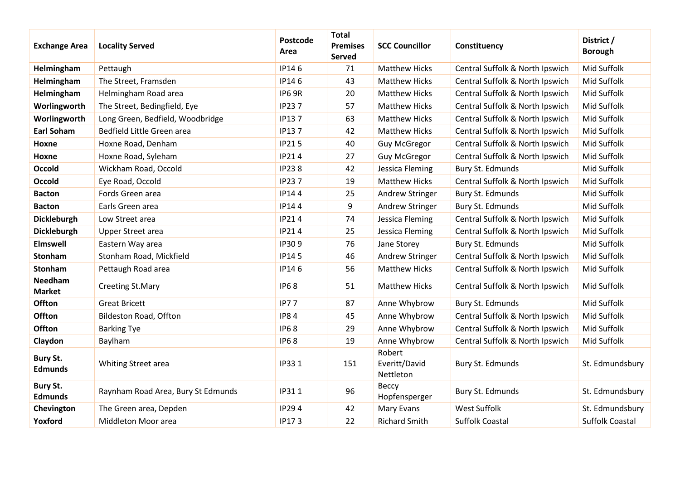| <b>Exchange Area</b>              | <b>Locality Served</b>             | Postcode<br>Area | <b>Total</b><br><b>Premises</b><br><b>Served</b> | <b>SCC Councillor</b>                | Constituency                    | District /<br><b>Borough</b> |
|-----------------------------------|------------------------------------|------------------|--------------------------------------------------|--------------------------------------|---------------------------------|------------------------------|
| Helmingham                        | Pettaugh                           | IP146            | 71                                               | <b>Matthew Hicks</b>                 | Central Suffolk & North Ipswich | Mid Suffolk                  |
| Helmingham                        | The Street, Framsden               | IP146            | 43                                               | <b>Matthew Hicks</b>                 | Central Suffolk & North Ipswich | Mid Suffolk                  |
| Helmingham                        | Helmingham Road area               | <b>IP6 9R</b>    | 20                                               | <b>Matthew Hicks</b>                 | Central Suffolk & North Ipswich | Mid Suffolk                  |
| Worlingworth                      | The Street, Bedingfield, Eye       | <b>IP237</b>     | 57                                               | <b>Matthew Hicks</b>                 | Central Suffolk & North Ipswich | Mid Suffolk                  |
| Worlingworth                      | Long Green, Bedfield, Woodbridge   | IP137            | 63                                               | <b>Matthew Hicks</b>                 | Central Suffolk & North Ipswich | Mid Suffolk                  |
| <b>Earl Soham</b>                 | Bedfield Little Green area         | IP137            | 42                                               | <b>Matthew Hicks</b>                 | Central Suffolk & North Ipswich | Mid Suffolk                  |
| Hoxne                             | Hoxne Road, Denham                 | <b>IP215</b>     | 40                                               | <b>Guy McGregor</b>                  | Central Suffolk & North Ipswich | Mid Suffolk                  |
| Hoxne                             | Hoxne Road, Syleham                | <b>IP214</b>     | 27                                               | <b>Guy McGregor</b>                  | Central Suffolk & North Ipswich | Mid Suffolk                  |
| <b>Occold</b>                     | Wickham Road, Occold               | <b>IP238</b>     | 42                                               | Jessica Fleming                      | Bury St. Edmunds                | Mid Suffolk                  |
| <b>Occold</b>                     | Eye Road, Occold                   | <b>IP237</b>     | 19                                               | <b>Matthew Hicks</b>                 | Central Suffolk & North Ipswich | Mid Suffolk                  |
| <b>Bacton</b>                     | Fords Green area                   | IP144            | 25                                               | Andrew Stringer                      | Bury St. Edmunds                | Mid Suffolk                  |
| <b>Bacton</b>                     | Earls Green area                   | IP144            | 9                                                | Andrew Stringer                      | Bury St. Edmunds                | Mid Suffolk                  |
| Dickleburgh                       | Low Street area                    | <b>IP214</b>     | 74                                               | Jessica Fleming                      | Central Suffolk & North Ipswich | Mid Suffolk                  |
| Dickleburgh                       | <b>Upper Street area</b>           | IP214            | 25                                               | Jessica Fleming                      | Central Suffolk & North Ipswich | Mid Suffolk                  |
| Elmswell                          | Eastern Way area                   | IP309            | 76                                               | Jane Storey                          | Bury St. Edmunds                | Mid Suffolk                  |
| <b>Stonham</b>                    | Stonham Road, Mickfield            | IP145            | 46                                               | Andrew Stringer                      | Central Suffolk & North Ipswich | Mid Suffolk                  |
| Stonham                           | Pettaugh Road area                 | IP146            | 56                                               | <b>Matthew Hicks</b>                 | Central Suffolk & North Ipswich | Mid Suffolk                  |
| Needham<br><b>Market</b>          | <b>Creeting St.Mary</b>            | <b>IP68</b>      | 51                                               | <b>Matthew Hicks</b>                 | Central Suffolk & North Ipswich | Mid Suffolk                  |
| Offton                            | <b>Great Bricett</b>               | <b>IP77</b>      | 87                                               | Anne Whybrow                         | Bury St. Edmunds                | Mid Suffolk                  |
| Offton                            | Bildeston Road, Offton             | <b>IP84</b>      | 45                                               | Anne Whybrow                         | Central Suffolk & North Ipswich | Mid Suffolk                  |
| Offton                            | <b>Barking Tye</b>                 | <b>IP68</b>      | 29                                               | Anne Whybrow                         | Central Suffolk & North Ipswich | Mid Suffolk                  |
| Claydon                           | Baylham                            | <b>IP68</b>      | 19                                               | Anne Whybrow                         | Central Suffolk & North Ipswich | Mid Suffolk                  |
| <b>Bury St.</b><br><b>Edmunds</b> | Whiting Street area                | IP33 1           | 151                                              | Robert<br>Everitt/David<br>Nettleton | Bury St. Edmunds                | St. Edmundsbury              |
| <b>Bury St.</b><br><b>Edmunds</b> | Raynham Road Area, Bury St Edmunds | IP311            | 96                                               | Beccy<br>Hopfensperger               | Bury St. Edmunds                | St. Edmundsbury              |
| Chevington                        | The Green area, Depden             | <b>IP294</b>     | 42                                               | Mary Evans                           | <b>West Suffolk</b>             | St. Edmundsbury              |
| Yoxford                           | Middleton Moor area                | IP173            | 22                                               | <b>Richard Smith</b>                 | <b>Suffolk Coastal</b>          | <b>Suffolk Coastal</b>       |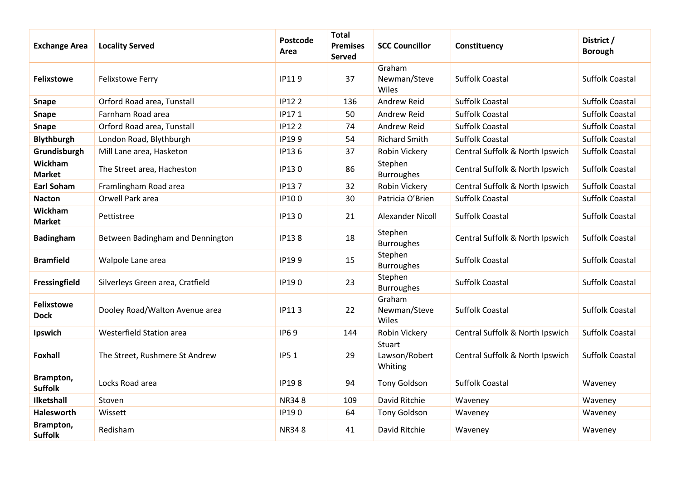| <b>Exchange Area</b>             | <b>Locality Served</b>           | Postcode<br>Area | <b>Total</b><br><b>Premises</b><br>Served | <b>SCC Councillor</b>              | Constituency                    | District /<br><b>Borough</b> |
|----------------------------------|----------------------------------|------------------|-------------------------------------------|------------------------------------|---------------------------------|------------------------------|
| <b>Felixstowe</b>                | Felixstowe Ferry                 | IP119            | 37                                        | Graham<br>Newman/Steve<br>Wiles    | <b>Suffolk Coastal</b>          | <b>Suffolk Coastal</b>       |
| <b>Snape</b>                     | Orford Road area, Tunstall       | <b>IP122</b>     | 136                                       | Andrew Reid                        | <b>Suffolk Coastal</b>          | <b>Suffolk Coastal</b>       |
| Snape                            | Farnham Road area                | IP171            | 50                                        | Andrew Reid                        | <b>Suffolk Coastal</b>          | <b>Suffolk Coastal</b>       |
| Snape                            | Orford Road area, Tunstall       | <b>IP122</b>     | 74                                        | Andrew Reid                        | <b>Suffolk Coastal</b>          | <b>Suffolk Coastal</b>       |
| <b>Blythburgh</b>                | London Road, Blythburgh          | IP199            | 54                                        | <b>Richard Smith</b>               | <b>Suffolk Coastal</b>          | <b>Suffolk Coastal</b>       |
| Grundisburgh                     | Mill Lane area, Hasketon         | IP136            | 37                                        | Robin Vickery                      | Central Suffolk & North Ipswich | <b>Suffolk Coastal</b>       |
| Wickham<br><b>Market</b>         | The Street area, Hacheston       | IP130            | 86                                        | Stephen<br><b>Burroughes</b>       | Central Suffolk & North Ipswich | <b>Suffolk Coastal</b>       |
| <b>Earl Soham</b>                | Framlingham Road area            | <b>IP137</b>     | 32                                        | Robin Vickery                      | Central Suffolk & North Ipswich | <b>Suffolk Coastal</b>       |
| <b>Nacton</b>                    | Orwell Park area                 | IP100            | 30                                        | Patricia O'Brien                   | <b>Suffolk Coastal</b>          | <b>Suffolk Coastal</b>       |
| Wickham<br><b>Market</b>         | Pettistree                       | IP130            | 21                                        | Alexander Nicoll                   | <b>Suffolk Coastal</b>          | <b>Suffolk Coastal</b>       |
| <b>Badingham</b>                 | Between Badingham and Dennington | <b>IP138</b>     | 18                                        | Stephen<br><b>Burroughes</b>       | Central Suffolk & North Ipswich | Suffolk Coastal              |
| <b>Bramfield</b>                 | Walpole Lane area                | IP199            | 15                                        | Stephen<br><b>Burroughes</b>       | <b>Suffolk Coastal</b>          | <b>Suffolk Coastal</b>       |
| Fressingfield                    | Silverleys Green area, Cratfield | IP190            | 23                                        | Stephen<br><b>Burroughes</b>       | <b>Suffolk Coastal</b>          | <b>Suffolk Coastal</b>       |
| <b>Felixstowe</b><br><b>Dock</b> | Dooley Road/Walton Avenue area   | IP113            | 22                                        | Graham<br>Newman/Steve<br>Wiles    | <b>Suffolk Coastal</b>          | <b>Suffolk Coastal</b>       |
| Ipswich                          | Westerfield Station area         | IP69             | 144                                       | Robin Vickery                      | Central Suffolk & North Ipswich | Suffolk Coastal              |
| <b>Foxhall</b>                   | The Street, Rushmere St Andrew   | <b>IP51</b>      | 29                                        | Stuart<br>Lawson/Robert<br>Whiting | Central Suffolk & North Ipswich | <b>Suffolk Coastal</b>       |
| Brampton,<br><b>Suffolk</b>      | Locks Road area                  | <b>IP198</b>     | 94                                        | <b>Tony Goldson</b>                | <b>Suffolk Coastal</b>          | Waveney                      |
| Ilketshall                       | Stoven                           | <b>NR348</b>     | 109                                       | David Ritchie                      | Waveney                         | Waveney                      |
| Halesworth                       | Wissett                          | IP190            | 64                                        | <b>Tony Goldson</b>                | Waveney                         | Waveney                      |
| Brampton,<br><b>Suffolk</b>      | Redisham                         | <b>NR348</b>     | 41                                        | David Ritchie                      | Waveney                         | Waveney                      |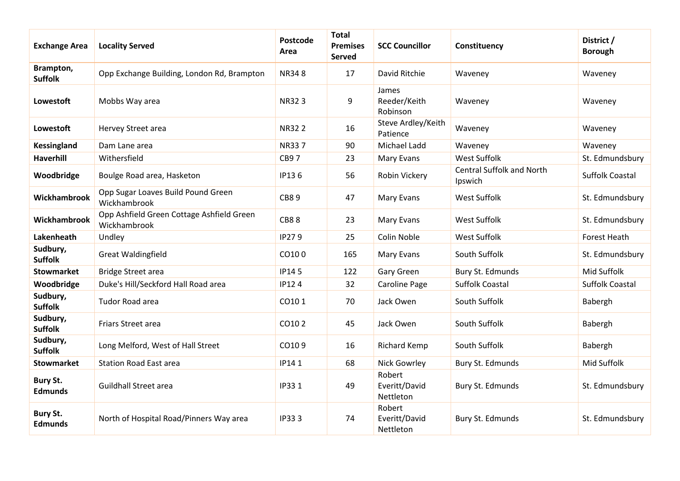| <b>Exchange Area</b>              | <b>Locality Served</b>                                    | Postcode<br>Area | <b>Total</b><br><b>Premises</b><br><b>Served</b> | <b>SCC Councillor</b>                | Constituency                                | District /<br><b>Borough</b> |
|-----------------------------------|-----------------------------------------------------------|------------------|--------------------------------------------------|--------------------------------------|---------------------------------------------|------------------------------|
| Brampton,<br><b>Suffolk</b>       | Opp Exchange Building, London Rd, Brampton                | <b>NR348</b>     | 17                                               | David Ritchie                        | Waveney                                     | Waveney                      |
| Lowestoft                         | Mobbs Way area                                            | <b>NR323</b>     | 9                                                | James<br>Reeder/Keith<br>Robinson    | Waveney                                     | Waveney                      |
| Lowestoft                         | Hervey Street area                                        | <b>NR322</b>     | 16                                               | Steve Ardley/Keith<br>Patience       | Waveney                                     | Waveney                      |
| <b>Kessingland</b>                | Dam Lane area                                             | <b>NR337</b>     | 90                                               | Michael Ladd                         | Waveney                                     | Waveney                      |
| <b>Haverhill</b>                  | Withersfield                                              | <b>CB97</b>      | 23                                               | Mary Evans                           | <b>West Suffolk</b>                         | St. Edmundsbury              |
| Woodbridge                        | Boulge Road area, Hasketon                                | IP136            | 56                                               | Robin Vickery                        | <b>Central Suffolk and North</b><br>Ipswich | <b>Suffolk Coastal</b>       |
| Wickhambrook                      | Opp Sugar Loaves Build Pound Green<br>Wickhambrook        | <b>CB89</b>      | 47                                               | Mary Evans                           | West Suffolk                                | St. Edmundsbury              |
| Wickhambrook                      | Opp Ashfield Green Cottage Ashfield Green<br>Wickhambrook | <b>CB88</b>      | 23                                               | Mary Evans                           | <b>West Suffolk</b>                         | St. Edmundsbury              |
| Lakenheath                        | Undley                                                    | IP279            | 25                                               | Colin Noble                          | West Suffolk                                | Forest Heath                 |
| Sudbury,<br><b>Suffolk</b>        | <b>Great Waldingfield</b>                                 | CO100            | 165                                              | Mary Evans                           | South Suffolk                               | St. Edmundsbury              |
| <b>Stowmarket</b>                 | <b>Bridge Street area</b>                                 | IP145            | 122                                              | Gary Green                           | Bury St. Edmunds                            | Mid Suffolk                  |
| Woodbridge                        | Duke's Hill/Seckford Hall Road area                       | <b>IP124</b>     | 32                                               | <b>Caroline Page</b>                 | <b>Suffolk Coastal</b>                      | <b>Suffolk Coastal</b>       |
| Sudbury,<br><b>Suffolk</b>        | Tudor Road area                                           | CO101            | 70                                               | Jack Owen                            | South Suffolk                               | Babergh                      |
| Sudbury,<br><b>Suffolk</b>        | Friars Street area                                        | CO102            | 45                                               | Jack Owen                            | South Suffolk                               | Babergh                      |
| Sudbury,<br><b>Suffolk</b>        | Long Melford, West of Hall Street                         | CO109            | 16                                               | <b>Richard Kemp</b>                  | South Suffolk                               | Babergh                      |
| <b>Stowmarket</b>                 | <b>Station Road East area</b>                             | IP141            | 68                                               | Nick Gowrley                         | Bury St. Edmunds                            | Mid Suffolk                  |
| <b>Bury St.</b><br><b>Edmunds</b> | <b>Guildhall Street area</b>                              | IP331            | 49                                               | Robert<br>Everitt/David<br>Nettleton | Bury St. Edmunds                            | St. Edmundsbury              |
| <b>Bury St.</b><br><b>Edmunds</b> | North of Hospital Road/Pinners Way area                   | IP333            | 74                                               | Robert<br>Everitt/David<br>Nettleton | Bury St. Edmunds                            | St. Edmundsbury              |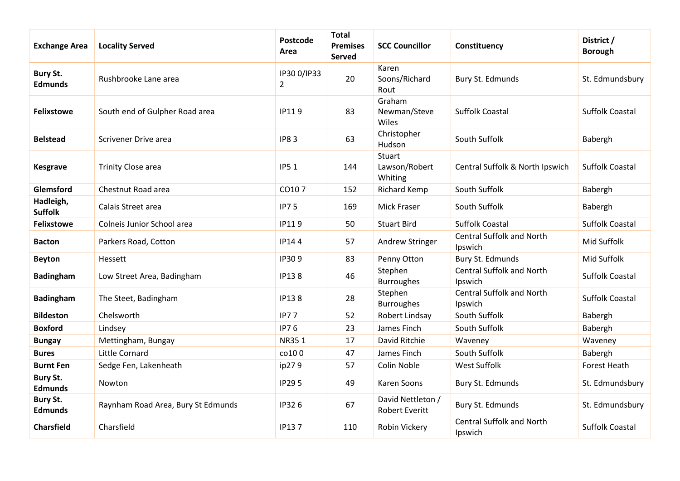| <b>Exchange Area</b>              | <b>Locality Served</b>             | Postcode<br>Area              | <b>Total</b><br><b>Premises</b><br>Served | <b>SCC Councillor</b>                      | Constituency                                | District /<br><b>Borough</b> |
|-----------------------------------|------------------------------------|-------------------------------|-------------------------------------------|--------------------------------------------|---------------------------------------------|------------------------------|
| <b>Bury St.</b><br><b>Edmunds</b> | Rushbrooke Lane area               | IP30 0/IP33<br>$\overline{2}$ | 20                                        | Karen<br>Soons/Richard<br>Rout             | Bury St. Edmunds                            | St. Edmundsbury              |
| <b>Felixstowe</b>                 | South end of Gulpher Road area     | IP119                         | 83                                        | Graham<br>Newman/Steve<br>Wiles            | <b>Suffolk Coastal</b>                      | <b>Suffolk Coastal</b>       |
| <b>Belstead</b>                   | Scrivener Drive area               | <b>IP83</b>                   | 63                                        | Christopher<br>Hudson                      | South Suffolk                               | Babergh                      |
| <b>Kesgrave</b>                   | <b>Trinity Close area</b>          | <b>IP51</b>                   | 144                                       | Stuart<br>Lawson/Robert<br>Whiting         | Central Suffolk & North Ipswich             | <b>Suffolk Coastal</b>       |
| Glemsford                         | Chestnut Road area                 | CO107                         | 152                                       | <b>Richard Kemp</b>                        | South Suffolk                               | Babergh                      |
| Hadleigh,<br><b>Suffolk</b>       | Calais Street area                 | <b>IP75</b>                   | 169                                       | <b>Mick Fraser</b>                         | South Suffolk                               | Babergh                      |
| <b>Felixstowe</b>                 | Colneis Junior School area         | IP119                         | 50                                        | <b>Stuart Bird</b>                         | <b>Suffolk Coastal</b>                      | <b>Suffolk Coastal</b>       |
| <b>Bacton</b>                     | Parkers Road, Cotton               | IP144                         | 57                                        | Andrew Stringer                            | <b>Central Suffolk and North</b><br>Ipswich | Mid Suffolk                  |
| <b>Beyton</b>                     | <b>Hessett</b>                     | IP309                         | 83                                        | Penny Otton                                | Bury St. Edmunds                            | Mid Suffolk                  |
| <b>Badingham</b>                  | Low Street Area, Badingham         | <b>IP138</b>                  | 46                                        | Stephen<br><b>Burroughes</b>               | <b>Central Suffolk and North</b><br>Ipswich | <b>Suffolk Coastal</b>       |
| <b>Badingham</b>                  | The Steet, Badingham               | <b>IP138</b>                  | 28                                        | Stephen<br><b>Burroughes</b>               | <b>Central Suffolk and North</b><br>Ipswich | <b>Suffolk Coastal</b>       |
| <b>Bildeston</b>                  | Chelsworth                         | <b>IP77</b>                   | 52                                        | Robert Lindsay                             | South Suffolk                               | Babergh                      |
| <b>Boxford</b>                    | Lindsey                            | <b>IP76</b>                   | 23                                        | James Finch                                | South Suffolk                               | Babergh                      |
| <b>Bungay</b>                     | Mettingham, Bungay                 | NR351                         | 17                                        | David Ritchie                              | Waveney                                     | Waveney                      |
| <b>Bures</b>                      | Little Cornard                     | co100                         | 47                                        | James Finch                                | South Suffolk                               | Babergh                      |
| <b>Burnt Fen</b>                  | Sedge Fen, Lakenheath              | ip279                         | 57                                        | Colin Noble                                | <b>West Suffolk</b>                         | Forest Heath                 |
| <b>Bury St.</b><br><b>Edmunds</b> | Nowton                             | <b>IP295</b>                  | 49                                        | Karen Soons                                | Bury St. Edmunds                            | St. Edmundsbury              |
| <b>Bury St.</b><br><b>Edmunds</b> | Raynham Road Area, Bury St Edmunds | IP326                         | 67                                        | David Nettleton /<br><b>Robert Everitt</b> | Bury St. Edmunds                            | St. Edmundsbury              |
| <b>Charsfield</b>                 | Charsfield                         | IP137                         | 110                                       | Robin Vickery                              | <b>Central Suffolk and North</b><br>Ipswich | <b>Suffolk Coastal</b>       |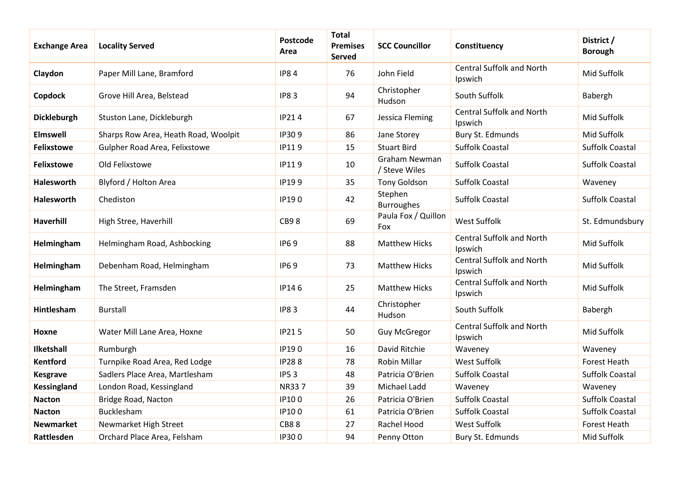| <b>Exchange Area</b> | <b>Locality Served</b>               | <b>Postcode</b><br>Area | <b>Total</b><br><b>Premises</b><br>Served | <b>SCC Councillor</b>          | Constituency                                | District /<br><b>Borough</b> |
|----------------------|--------------------------------------|-------------------------|-------------------------------------------|--------------------------------|---------------------------------------------|------------------------------|
| Claydon              | Paper Mill Lane, Bramford            | <b>IP84</b>             | 76                                        | John Field                     | <b>Central Suffolk and North</b><br>Ipswich | Mid Suffolk                  |
| Copdock              | Grove Hill Area, Belstead            | <b>IP83</b>             | 94                                        | Christopher<br>Hudson          | South Suffolk                               | Babergh                      |
| <b>Dickleburgh</b>   | Stuston Lane, Dickleburgh            | <b>IP214</b>            | 67                                        | Jessica Fleming                | <b>Central Suffolk and North</b><br>Ipswich | Mid Suffolk                  |
| <b>Elmswell</b>      | Sharps Row Area, Heath Road, Woolpit | IP309                   | 86                                        | Jane Storey                    | Bury St. Edmunds                            | Mid Suffolk                  |
| <b>Felixstowe</b>    | Gulpher Road Area, Felixstowe        | IP119                   | 15                                        | <b>Stuart Bird</b>             | <b>Suffolk Coastal</b>                      | <b>Suffolk Coastal</b>       |
| <b>Felixstowe</b>    | Old Felixstowe                       | IP119                   | 10                                        | Graham Newman<br>/ Steve Wiles | <b>Suffolk Coastal</b>                      | <b>Suffolk Coastal</b>       |
| Halesworth           | Blyford / Holton Area                | IP199                   | 35                                        | <b>Tony Goldson</b>            | <b>Suffolk Coastal</b>                      | Waveney                      |
| <b>Halesworth</b>    | Chediston                            | IP190                   | 42                                        | Stephen<br><b>Burroughes</b>   | <b>Suffolk Coastal</b>                      | <b>Suffolk Coastal</b>       |
| <b>Haverhill</b>     | High Stree, Haverhill                | <b>CB98</b>             | 69                                        | Paula Fox / Quillon<br>Fox     | West Suffolk                                | St. Edmundsbury              |
| Helmingham           | Helmingham Road, Ashbocking          | <b>IP69</b>             | 88                                        | <b>Matthew Hicks</b>           | <b>Central Suffolk and North</b><br>Ipswich | Mid Suffolk                  |
| Helmingham           | Debenham Road, Helmingham            | <b>IP69</b>             | 73                                        | <b>Matthew Hicks</b>           | <b>Central Suffolk and North</b><br>Ipswich | Mid Suffolk                  |
| Helmingham           | The Street, Framsden                 | IP146                   | 25                                        | <b>Matthew Hicks</b>           | <b>Central Suffolk and North</b><br>Ipswich | Mid Suffolk                  |
| Hintlesham           | <b>Burstall</b>                      | <b>IP83</b>             | 44                                        | Christopher<br>Hudson          | South Suffolk                               | Babergh                      |
| Hoxne                | Water Mill Lane Area, Hoxne          | <b>IP215</b>            | 50                                        | <b>Guy McGregor</b>            | <b>Central Suffolk and North</b><br>Ipswich | Mid Suffolk                  |
| Ilketshall           | Rumburgh                             | IP190                   | 16                                        | David Ritchie                  | Waveney                                     | Waveney                      |
| <b>Kentford</b>      | Turnpike Road Area, Red Lodge        | <b>IP288</b>            | 78                                        | <b>Robin Millar</b>            | <b>West Suffolk</b>                         | <b>Forest Heath</b>          |
| <b>Kesgrave</b>      | Sadlers Place Area, Martlesham       | <b>IP53</b>             | 48                                        | Patricia O'Brien               | <b>Suffolk Coastal</b>                      | <b>Suffolk Coastal</b>       |
| <b>Kessingland</b>   | London Road, Kessingland             | NR337                   | 39                                        | Michael Ladd                   | Waveney                                     | Waveney                      |
| <b>Nacton</b>        | Bridge Road, Nacton                  | IP100                   | 26                                        | Patricia O'Brien               | <b>Suffolk Coastal</b>                      | Suffolk Coastal              |
| <b>Nacton</b>        | Bucklesham                           | IP100                   | 61                                        | Patricia O'Brien               | <b>Suffolk Coastal</b>                      | <b>Suffolk Coastal</b>       |
| <b>Newmarket</b>     | Newmarket High Street                | <b>CB88</b>             | 27                                        | Rachel Hood                    | <b>West Suffolk</b>                         | <b>Forest Heath</b>          |
| Rattlesden           | Orchard Place Area, Felsham          | IP300                   | 94                                        | Penny Otton                    | Bury St. Edmunds                            | Mid Suffolk                  |